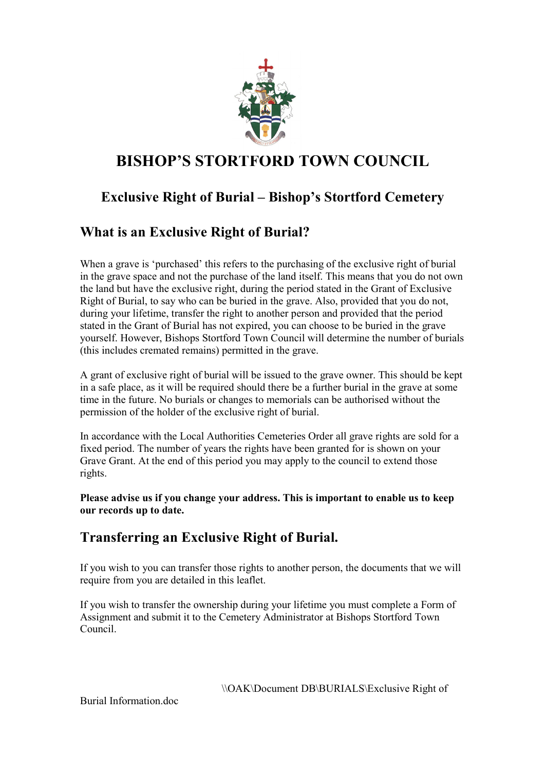

# **BISHOP'S STORTFORD TOWN COUNCIL**

## **Exclusive Right of Burial – Bishop's Stortford Cemetery**

### **What is an Exclusive Right of Burial?**

When a grave is 'purchased' this refers to the purchasing of the exclusive right of burial in the grave space and not the purchase of the land itself. This means that you do not own the land but have the exclusive right, during the period stated in the Grant of Exclusive Right of Burial, to say who can be buried in the grave. Also, provided that you do not, during your lifetime, transfer the right to another person and provided that the period stated in the Grant of Burial has not expired, you can choose to be buried in the grave yourself. However, Bishops Stortford Town Council will determine the number of burials (this includes cremated remains) permitted in the grave.

A grant of exclusive right of burial will be issued to the grave owner. This should be kept in a safe place, as it will be required should there be a further burial in the grave at some time in the future. No burials or changes to memorials can be authorised without the permission of the holder of the exclusive right of burial.

In accordance with the Local Authorities Cemeteries Order all grave rights are sold for a fixed period. The number of years the rights have been granted for is shown on your Grave Grant. At the end of this period you may apply to the council to extend those rights.

**Please advise us if you change your address. This is important to enable us to keep our records up to date.** 

### **Transferring an Exclusive Right of Burial.**

If you wish to you can transfer those rights to another person, the documents that we will require from you are detailed in this leaflet.

If you wish to transfer the ownership during your lifetime you must complete a Form of Assignment and submit it to the Cemetery Administrator at Bishops Stortford Town Council.

\\OAK\Document DB\BURIALS\Exclusive Right of

Burial Information.doc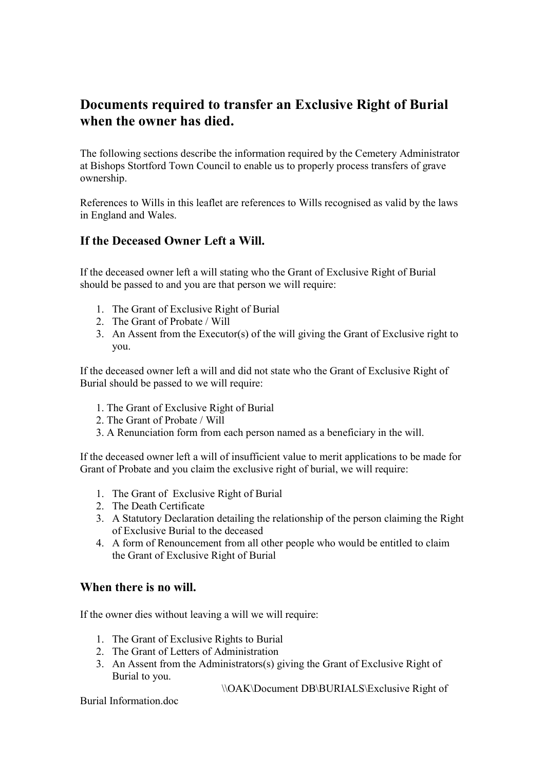#### **Documents required to transfer an Exclusive Right of Burial when the owner has died.**

The following sections describe the information required by the Cemetery Administrator at Bishops Stortford Town Council to enable us to properly process transfers of grave ownership.

References to Wills in this leaflet are references to Wills recognised as valid by the laws in England and Wales.

#### **If the Deceased Owner Left a Will.**

If the deceased owner left a will stating who the Grant of Exclusive Right of Burial should be passed to and you are that person we will require:

- 1. The Grant of Exclusive Right of Burial
- 2. The Grant of Probate / Will
- 3. An Assent from the Executor(s) of the will giving the Grant of Exclusive right to you.

If the deceased owner left a will and did not state who the Grant of Exclusive Right of Burial should be passed to we will require:

- 1. The Grant of Exclusive Right of Burial
- 2. The Grant of Probate / Will
- 3. A Renunciation form from each person named as a beneficiary in the will.

If the deceased owner left a will of insufficient value to merit applications to be made for Grant of Probate and you claim the exclusive right of burial, we will require:

- 1. The Grant of Exclusive Right of Burial
- 2. The Death Certificate
- 3. A Statutory Declaration detailing the relationship of the person claiming the Right of Exclusive Burial to the deceased
- 4. A form of Renouncement from all other people who would be entitled to claim the Grant of Exclusive Right of Burial

#### **When there is no will.**

If the owner dies without leaving a will we will require:

- 1. The Grant of Exclusive Rights to Burial
- 2. The Grant of Letters of Administration
- 3. An Assent from the Administrators(s) giving the Grant of Exclusive Right of Burial to you.

\\OAK\Document DB\BURIALS\Exclusive Right of

Burial Information.doc